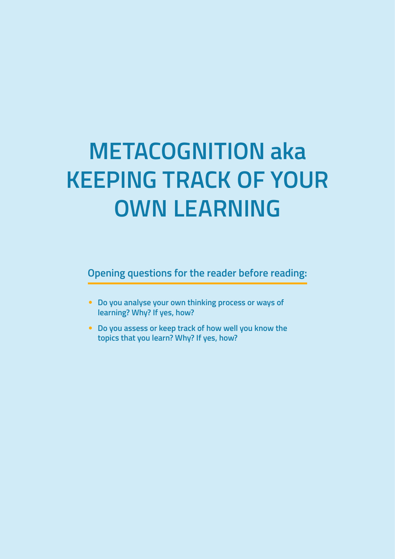# **METACOGNITION aka KEEPING TRACK OF YOUR OWN LEARNING**

**Opening questions for the reader before reading:**

- **Do you analyse your own thinking process or ways of learning? Why? If yes, how?**
- **Do you assess or keep track of how well you know the topics that you learn? Why? If yes, how?**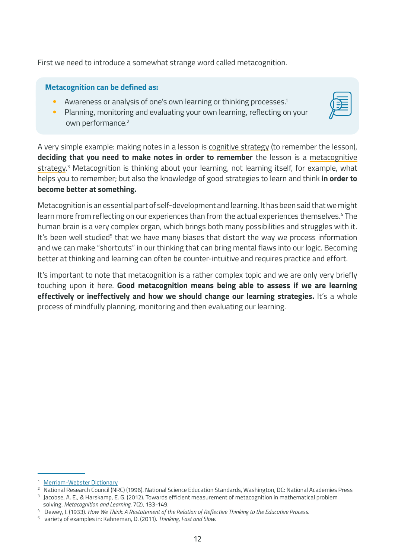First we need to introduce a somewhat strange word called metacognition.

#### **Metacognition can be defined as:**

- Awareness or analysis of one's own learning or thinking processes.<sup>1</sup>
- Planning, monitoring and evaluating your own learning, reflecting on your own performance.<sup>2</sup>

A very simple example: making notes in a lesson is cognitive strategy (to remember the lesson), **deciding that you need to make notes in order to remember** the lesson is a metacognitive strategy. 3 Metacognition is thinking about your learning, not learning itself, for example, what helps you to remember; but also the knowledge of good strategies to learn and think **in order to become better at something.**

Metacognition is an essential part of self-development and learning. It has been said that we might learn more from reflecting on our experiences than from the actual experiences themselves.<sup>4</sup> The human brain is a very complex organ, which brings both many possibilities and struggles with it. It's been well studied<sup>5</sup> that we have many biases that distort the way we process information and we can make "shortcuts" in our thinking that can bring mental flaws into our logic. Becoming better at thinking and learning can often be counter-intuitive and requires practice and effort.

It's important to note that metacognition is a rather complex topic and we are only very briefly touching upon it here. **Good metacognition means being able to assess if we are learning effectively or ineffectively and how we should change our learning strategies.** It's a whole process of mindfully planning, monitoring and then evaluating our learning.

<sup>1</sup> [Merriam-Webster Dictionary](https://www.merriam-webster.com/dictionary/metacognition)

<sup>&</sup>lt;sup>2</sup> National Research Council (NRC) (1996). National Science Education Standards, Washington, DC: National Academies Press

<sup>&</sup>lt;sup>3</sup> Jacobse, A. E., & Harskamp, E. G. (2012). Towards efficient measurement of metacognition in mathematical problem solving. *Metacognition and Learning,* 7(2), 133-149.

<sup>4</sup> Dewey, J. (1933). *How We Think: A Restatement of the Relation of Reflective Thinking to the Educative Process.*

<sup>5</sup> variety of examples in: Kahneman, D. (2011). *Thinking, Fast and Slow.*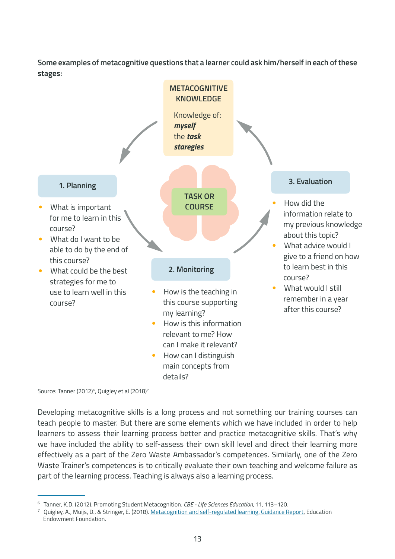**Some examples of metacognitive questions that a learner could ask him/herself in each of these stages:**



Source: Tanner (2012)<sup>6</sup>, Quigley et al (2018)<sup>7</sup>

Developing metacognitive skills is a long process and not something our training courses can teach people to master. But there are some elements which we have included in order to help learners to assess their learning process better and practice metacognitive skills. That's why we have included the ability to self-assess their own skill level and direct their learning more effectively as a part of the Zero Waste Ambassador's competences. Similarly, one of the Zero Waste Trainer's competences is to critically evaluate their own teaching and welcome failure as part of the learning process. Teaching is always also a learning process.

<sup>6</sup> Tanner, K.D. (2012). Promoting Student Metacognition. *CBE - Life Sciences Education*, 11, 113–120.

Quigley, A., Muijs, D., & Stringer, E. (2018). [Metacognition and self-regulated learning. Guidance Report,](https://d2tic4wvo1iusb.cloudfront.net/eef-guidance-reports/metacognition/EEF_Metacognition_and_self-regulated_learning.pdf) Education Endowment Foundation.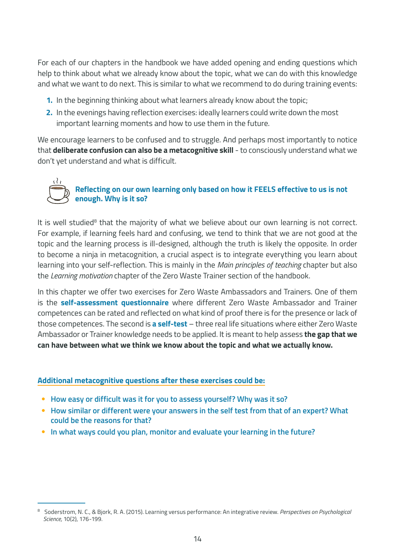For each of our chapters in the handbook we have added opening and ending questions which help to think about what we already know about the topic, what we can do with this knowledge and what we want to do next. This is similar to what we recommend to do during training events:

- **1.** In the beginning thinking about what learners already know about the topic;
- **2.** In the evenings having reflection exercises: ideally learners could write down the most important learning moments and how to use them in the future.

We encourage learners to be confused and to struggle. And perhaps most importantly to notice that **deliberate confusion can also be a metacognitive skill** - to consciously understand what we don't yet understand and what is difficult.

#### **Reflecting on our own learning only based on how it FEELS effective to us is not enough. Why is it so?**

It is well studied<sup>8</sup> that the majority of what we believe about our own learning is not correct. For example, if learning feels hard and confusing, we tend to think that we are not good at the topic and the learning process is ill-designed, although the truth is likely the opposite. In order to become a ninja in metacognition, a crucial aspect is to integrate everything you learn about learning into your self-reflection. This is mainly in the *Main principles of teaching* chapter but also the *Learning motivation* chapter of the Zero Waste Trainer section of the handbook.

In this chapter we offer two exercises for Zero Waste Ambassadors and Trainers. One of them is the **self-assessment questionnaire** where different Zero Waste Ambassador and Trainer competences can be rated and reflected on what kind of proof there is for the presence or lack of those competences. The second is **a self-test** – three real life situations where either Zero Waste Ambassador or Trainer knowledge needs to be applied. It is meant to help assess **the gap that we can have between what we think we know about the topic and what we actually know.**

#### **Additional metacognitive questions after these exercises could be:**

- **How easy or difficult was it for you to assess yourself? Why was it so?**
- **How similar or different were your answers in the self test from that of an expert? What could be the reasons for that?**
- **In what ways could you plan, monitor and evaluate your learning in the future?**

<sup>8</sup> Soderstrom, N. C., & Bjork, R. A. (2015). Learning versus performance: An integrative review. *Perspectives on Psychological Science,* 10(2), 176-199.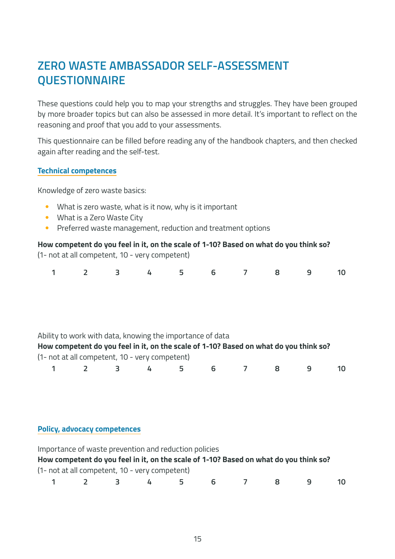### **ZERO WASTE AMBASSADOR SELF-ASSESSMENT QUESTIONNAIRE**

These questions could help you to map your strengths and struggles. They have been grouped by more broader topics but can also be assessed in more detail. It's important to reflect on the reasoning and proof that you add to your assessments.

This questionnaire can be filled before reading any of the handbook chapters, and then checked again after reading and the self-test.

#### **Technical competences**

Knowledge of zero waste basics:

- What is zero waste, what is it now, why is it important
- What is a Zero Waste City
- Preferred waste management, reduction and treatment options

#### **How competent do you feel in it, on the scale of 1-10? Based on what do you think so?** (1- not at all competent, 10 - very competent)

|  | <b>VETY COMPLECTICI</b> |  |
|--|-------------------------|--|
|  |                         |  |
|  |                         |  |

|  |  |  | 1 2 3 4 5 6 7 8 9 10 |  |  |
|--|--|--|----------------------|--|--|
|  |  |  |                      |  |  |

#### Ability to work with data, knowing the importance of data

| How competent do you feel in it, on the scale of 1-10? Based on what do you think so? |  |
|---------------------------------------------------------------------------------------|--|
| (1- not at all competent, 10 - very competent)                                        |  |

| 1 2 3 4 5 6 7 8 9 10 |  |  |  |  |  |  |  |  |  |
|----------------------|--|--|--|--|--|--|--|--|--|
|----------------------|--|--|--|--|--|--|--|--|--|

#### **Policy, advocacy competences**

|                                                                                       | Importance of waste prevention and reduction policies |              |              |       |   |  |    |  |    |  |  |  |  |
|---------------------------------------------------------------------------------------|-------------------------------------------------------|--------------|--------------|-------|---|--|----|--|----|--|--|--|--|
| How competent do you feel in it, on the scale of 1-10? Based on what do you think so? |                                                       |              |              |       |   |  |    |  |    |  |  |  |  |
|                                                                                       | (1- not at all competent, 10 - very competent)        |              |              |       |   |  |    |  |    |  |  |  |  |
|                                                                                       | $\sim$ $\sim$ $\sim$ $\sim$ $\sim$                    | $\mathbf{R}$ | $\mathbf{L}$ | - 5 - | 6 |  | -8 |  | 10 |  |  |  |  |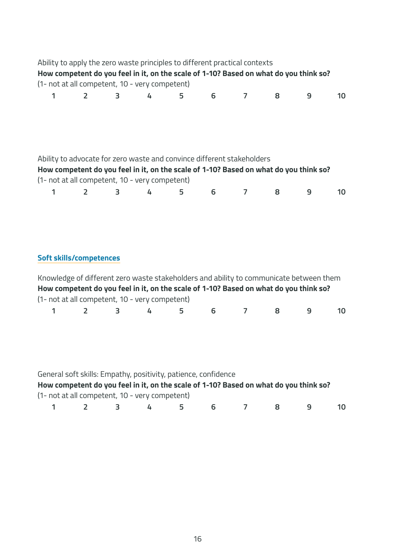|                                                                                                                                                                                                                   |                                                                                                                                                                                                                                                                     | Ability to apply the zero waste principles to different practical contexts<br>How competent do you feel in it, on the scale of 1-10? Based on what do you think so?<br>(1- not at all competent, 10 - very competent) |   |   |   |                |   |   |    |  |  |  |
|-------------------------------------------------------------------------------------------------------------------------------------------------------------------------------------------------------------------|---------------------------------------------------------------------------------------------------------------------------------------------------------------------------------------------------------------------------------------------------------------------|-----------------------------------------------------------------------------------------------------------------------------------------------------------------------------------------------------------------------|---|---|---|----------------|---|---|----|--|--|--|
| 1                                                                                                                                                                                                                 | $\overline{2}$                                                                                                                                                                                                                                                      | 3                                                                                                                                                                                                                     | 4 | 5 | 6 | $\overline{7}$ | 8 | 9 | 10 |  |  |  |
| Ability to advocate for zero waste and convince different stakeholders<br>How competent do you feel in it, on the scale of 1-10? Based on what do you think so?<br>(1- not at all competent, 10 - very competent) |                                                                                                                                                                                                                                                                     |                                                                                                                                                                                                                       |   |   |   |                |   |   |    |  |  |  |
| 1                                                                                                                                                                                                                 | $\overline{2}$                                                                                                                                                                                                                                                      | 3                                                                                                                                                                                                                     | 4 | 5 | 6 | 7              | 8 | 9 | 10 |  |  |  |
|                                                                                                                                                                                                                   |                                                                                                                                                                                                                                                                     |                                                                                                                                                                                                                       |   |   |   |                |   |   |    |  |  |  |
|                                                                                                                                                                                                                   | <b>Soft skills/competences</b><br>Knowledge of different zero waste stakeholders and ability to communicate between them<br>How competent do you feel in it, on the scale of 1-10? Based on what do you think so?<br>(1- not at all competent, 10 - very competent) |                                                                                                                                                                                                                       |   |   |   |                |   |   |    |  |  |  |
| 1                                                                                                                                                                                                                 | $\overline{2}$                                                                                                                                                                                                                                                      | 3                                                                                                                                                                                                                     | 4 | 5 | 6 | $\overline{7}$ | 8 | 9 | 10 |  |  |  |
|                                                                                                                                                                                                                   |                                                                                                                                                                                                                                                                     |                                                                                                                                                                                                                       |   |   |   |                |   |   |    |  |  |  |
|                                                                                                                                                                                                                   | General soft skills: Empathy, positivity, patience, confidence<br>How competent do you feel in it, on the scale of 1-10? Based on what do you think so?<br>(1- not at all competent, 10 - very competent)                                                           |                                                                                                                                                                                                                       |   |   |   |                |   |   |    |  |  |  |
| 1                                                                                                                                                                                                                 | $\overline{2}$                                                                                                                                                                                                                                                      | 3                                                                                                                                                                                                                     | 4 | 5 | 6 | 7              | 8 | 9 | 10 |  |  |  |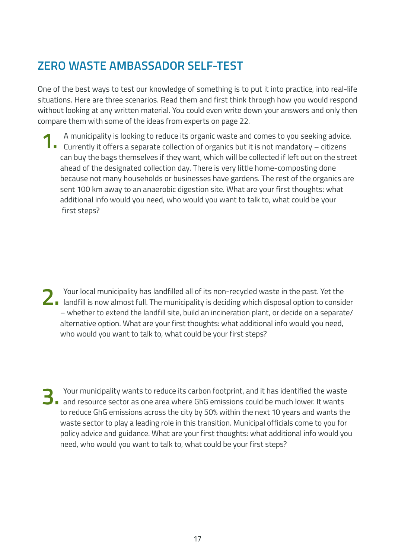### **ZERO WASTE AMBASSADOR SELF-TEST**

One of the best ways to test our knowledge of something is to put it into practice, into real-life situations. Here are three scenarios. Read them and first think through how you would respond without looking at any written material. You could even write down your answers and only then compare them with some of the ideas from experts on page 22.

**1.** A municipality is looking to reduce its organic waste and comes to you seeking advice<br>**1.** Currently it offers a separate collection of organics but it is not mandatory – citizens A municipality is looking to reduce its organic waste and comes to you seeking advice. can buy the bags themselves if they want, which will be collected if left out on the street ahead of the designated collection day. There is very little home-composting done because not many households or businesses have gardens. The rest of the organics are sent 100 km away to an anaerobic digestion site. What are your first thoughts: what additional info would you need, who would you want to talk to, what could be your first steps?

**2.** landfill is now almost full. The municipality is deciding which disposal option to consider Your local municipality has landfilled all of its non-recycled waste in the past. Yet the – whether to extend the landfill site, build an incineration plant, or decide on a separate/ alternative option. What are your first thoughts: what additional info would you need, who would you want to talk to, what could be your first steps?

**3.** Your municipality wants to reduce its carbon footprint, and it has identified the waste<br>and resource sector as one area where GhG emissions could be much lower. It wants Your municipality wants to reduce its carbon footprint, and it has identified the waste to reduce GhG emissions across the city by 50% within the next 10 years and wants the waste sector to play a leading role in this transition. Municipal officials come to you for policy advice and guidance. What are your first thoughts: what additional info would you need, who would you want to talk to, what could be your first steps?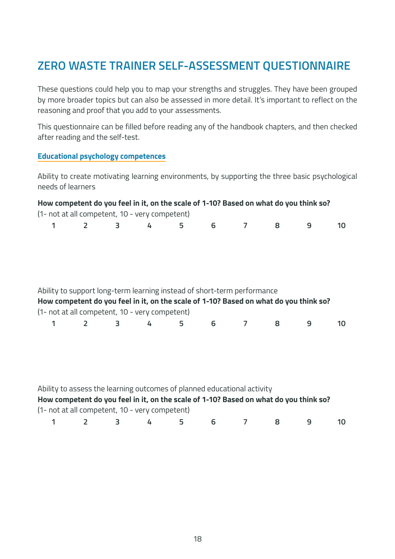### **ZERO WASTE TRAINER SELF-ASSESSMENT QUESTIONNAIRE**

These questions could help you to map your strengths and struggles. They have been grouped by more broader topics but can also be assessed in more detail. It's important to reflect on the reasoning and proof that you add to your assessments.

This questionnaire can be filled before reading any of the handbook chapters, and then checked after reading and the self-test.

#### **Educational psychology competences**

Ability to create motivating learning environments, by supporting the three basic psychological needs of learners

|   |                | How competent do you feel in it, on the scale of 1-10? Based on what do you think so?                                                                                                                              |   |   |   |                |   |                |    |
|---|----------------|--------------------------------------------------------------------------------------------------------------------------------------------------------------------------------------------------------------------|---|---|---|----------------|---|----------------|----|
| 1 |                | (1- not at all competent, 10 - very competent)<br>$\overline{\mathbf{3}}$                                                                                                                                          |   | 5 |   | $\overline{7}$ |   | $\overline{9}$ |    |
|   | $2^{\circ}$    |                                                                                                                                                                                                                    | 4 |   | 6 |                | 8 |                | 10 |
|   |                |                                                                                                                                                                                                                    |   |   |   |                |   |                |    |
|   |                | Ability to support long-term learning instead of short-term performance<br>How competent do you feel in it, on the scale of 1-10? Based on what do you think so?<br>(1- not at all competent, 10 - very competent) |   |   |   |                |   |                |    |
| 1 | $\overline{2}$ | 3                                                                                                                                                                                                                  | 4 | 5 | 6 | 7              | 8 | 9              | 10 |
|   |                |                                                                                                                                                                                                                    |   |   |   |                |   |                |    |
|   |                | Ability to assess the learning outcomes of planned educational activity<br>How competent do you feel in it, on the scale of 1-10? Based on what do you think so?<br>(1- not at all competent, 10 - very competent) |   |   |   |                |   |                |    |

|  |  | 1 2 3 4 5 6 7 8 9 10 |  |  |  |
|--|--|----------------------|--|--|--|
|  |  |                      |  |  |  |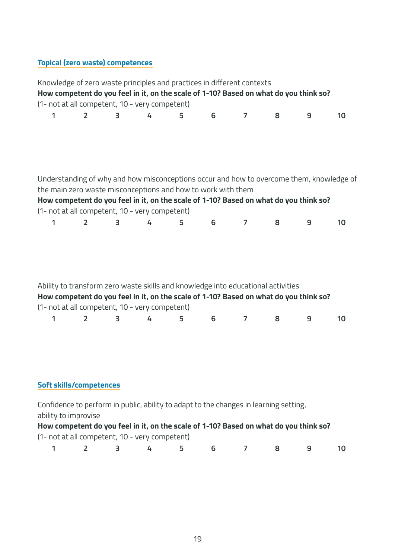### **Topical (zero waste) competences**

|   |                                |   | (1- not at all competent, 10 - very competent)               |   |   | Knowledge of zero waste principles and practices in different contexts<br>How competent do you feel in it, on the scale of 1-10? Based on what do you think so?           |   |   |    |
|---|--------------------------------|---|--------------------------------------------------------------|---|---|---------------------------------------------------------------------------------------------------------------------------------------------------------------------------|---|---|----|
| 1 | $\overline{2}$                 | 3 | 4                                                            | 5 | 6 | $\overline{7}$                                                                                                                                                            | 8 | 9 | 10 |
|   |                                |   |                                                              |   |   |                                                                                                                                                                           |   |   |    |
|   |                                |   | the main zero waste misconceptions and how to work with them |   |   | Understanding of why and how misconceptions occur and how to overcome them, knowledge of                                                                                  |   |   |    |
|   |                                |   |                                                              |   |   | How competent do you feel in it, on the scale of 1-10? Based on what do you think so?                                                                                     |   |   |    |
|   |                                |   | (1- not at all competent, 10 - very competent)               |   |   |                                                                                                                                                                           |   |   |    |
| 1 | $\overline{2}$                 | 3 | 4                                                            | 5 | 6 | $\overline{7}$                                                                                                                                                            | 8 | 9 | 10 |
|   |                                |   | (1- not at all competent, 10 - very competent)               |   |   | Ability to transform zero waste skills and knowledge into educational activities<br>How competent do you feel in it, on the scale of 1-10? Based on what do you think so? |   |   |    |
| 1 | $\overline{2}$                 | 3 | 4                                                            | 5 | 6 | 7                                                                                                                                                                         | 8 | 9 | 10 |
|   | <b>Soft skills/competences</b> |   |                                                              |   |   |                                                                                                                                                                           |   |   |    |
|   |                                |   |                                                              |   |   |                                                                                                                                                                           |   |   |    |
|   | ability to improvise           |   |                                                              |   |   | Confidence to perform in public, ability to adapt to the changes in learning setting,                                                                                     |   |   |    |
|   |                                |   | (1- not at all competent, 10 - very competent)               |   |   | How competent do you feel in it, on the scale of 1-10? Based on what do you think so?                                                                                     |   |   |    |
| 1 | $\overline{2}$                 | 3 | 4                                                            | 5 | 6 |                                                                                                                                                                           | 8 | 9 | 10 |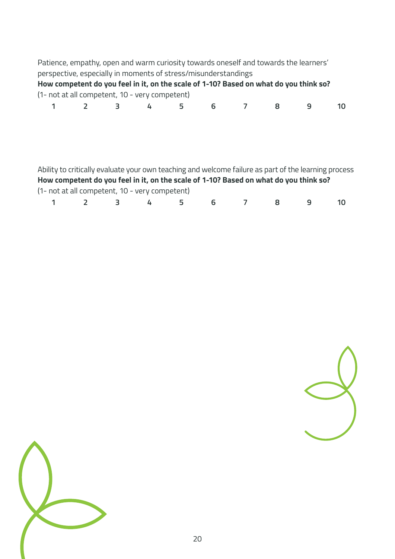Patience, empathy, open and warm curiosity towards oneself and towards the learners' perspective, especially in moments of stress/misunderstandings **How competent do you feel in it, on the scale of 1-10? Based on what do you think so?** (1- not at all competent, 10 - very competent) **1 2 3 4 5 6 7 8 9 10**

| Ability to critically evaluate your own teaching and welcome failure as part of the learning process |                                                |     |          |   |    |  |  |  |  |  |  |  |
|------------------------------------------------------------------------------------------------------|------------------------------------------------|-----|----------|---|----|--|--|--|--|--|--|--|
| How competent do you feel in it, on the scale of 1-10? Based on what do you think so?                |                                                |     |          |   |    |  |  |  |  |  |  |  |
|                                                                                                      | (1- not at all competent, 10 - very competent) |     |          |   |    |  |  |  |  |  |  |  |
| $\mathbf{1}$                                                                                         | $\overline{\phantom{a}}$                       | - 3 | <u>д</u> | 5 | 6. |  |  |  |  |  |  |  |



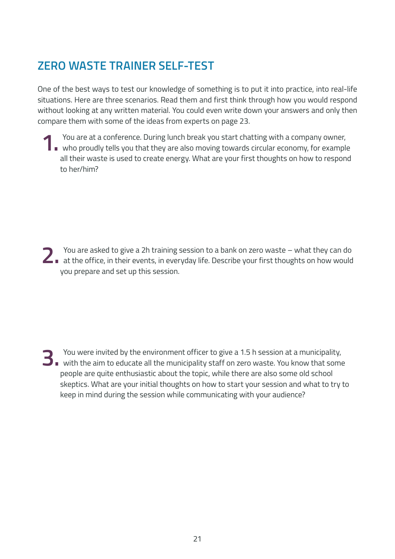## **ZERO WASTE TRAINER SELF-TEST**

One of the best ways to test our knowledge of something is to put it into practice, into real-life situations. Here are three scenarios. Read them and first think through how you would respond without looking at any written material. You could even write down your answers and only then compare them with some of the ideas from experts on page 23.

You are at a conference. During lunch break you start chatting with a company owner,<br>who proudly tells you that they are also moving towards circular economy, for example You are at a conference. During lunch break you start chatting with a company owner, all their waste is used to create energy. What are your first thoughts on how to respond to her/him?

**2.** at the office, in their events, in everyday life. Describe your first thoughts on how would You are asked to give a 2h training session to a bank on zero waste – what they can do you prepare and set up this session.

**3.** with the aim to educate all the municipality staff on zero waste. You know that some You were invited by the environment officer to give a 1.5 h session at a municipality, people are quite enthusiastic about the topic, while there are also some old school skeptics. What are your initial thoughts on how to start your session and what to try to keep in mind during the session while communicating with your audience?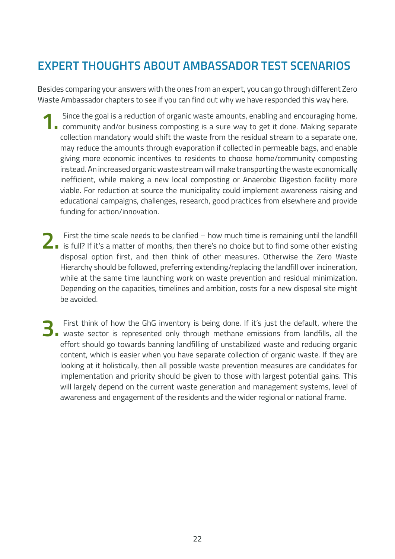## **EXPERT THOUGHTS ABOUT AMBASSADOR TEST SCENARIOS**

Besides comparing your answers with the ones from an expert, you can go through different Zero Waste Ambassador chapters to see if you can find out why we have responded this way here.

- Since the goal is a reduction of organic waste amounts, enabling and encouraging home,<br>community and/or business composting is a sure way to get it done. Making separate Since the goal is a reduction of organic waste amounts, enabling and encouraging home, collection mandatory would shift the waste from the residual stream to a separate one, may reduce the amounts through evaporation if collected in permeable bags, and enable giving more economic incentives to residents to choose home/community composting instead. An increased organic waste stream will make transporting the waste economically inefficient, while making a new local composting or Anaerobic Digestion facility more viable. For reduction at source the municipality could implement awareness raising and educational campaigns, challenges, research, good practices from elsewhere and provide funding for action/innovation.
- **2** First the time scale needs to be clarified how much time is remaining until the landfill is full? If it's a matter of months, then there's no choice but to find some other existing First the time scale needs to be clarified – how much time is remaining until the landfill disposal option first, and then think of other measures. Otherwise the Zero Waste Hierarchy should be followed, preferring extending/replacing the landfill over incineration, while at the same time launching work on waste prevention and residual minimization. Depending on the capacities, timelines and ambition, costs for a new disposal site might be avoided.
- **3.** First think of how the GhG inventory is being done. If it's just the default, where the waste sector is represented only through methane emissions from landfills, all the First think of how the GhG inventory is being done. If it's just the default, where the effort should go towards banning landfilling of unstabilized waste and reducing organic content, which is easier when you have separate collection of organic waste. If they are looking at it holistically, then all possible waste prevention measures are candidates for implementation and priority should be given to those with largest potential gains. This will largely depend on the current waste generation and management systems, level of awareness and engagement of the residents and the wider regional or national frame.